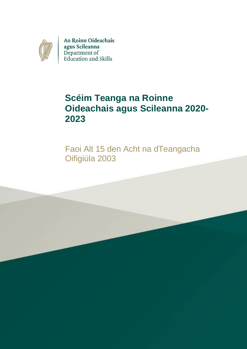

An Roinn Oideachais agus Scileanna Department of<br>Education and Skills

# **Scéim Teanga na Roinne Oideachais agus Scileanna 2020- 2023**

Faoi Alt 15 den Acht na dTeangacha Oifigiúla 2003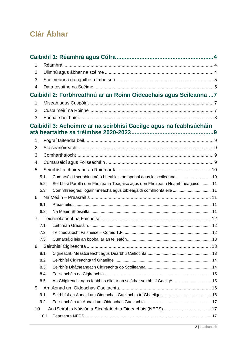# **Clár Ábhar**

| 1.          |      |                                                                                |  |
|-------------|------|--------------------------------------------------------------------------------|--|
| 2.          |      |                                                                                |  |
| 3.          |      |                                                                                |  |
| 4.          |      |                                                                                |  |
|             |      | Caibidil 2: Forbhreathnú ar an Roinn Oideachais agus Scileanna  7              |  |
| 1.          |      |                                                                                |  |
| 2.          |      |                                                                                |  |
| 3.          |      |                                                                                |  |
|             |      | Caibidil 3: Achoimre ar na seirbhísí Gaeilge agus na feabhsúcháin              |  |
|             |      |                                                                                |  |
| 1.          |      |                                                                                |  |
| 2.          |      |                                                                                |  |
| 3.          |      |                                                                                |  |
| 4.          |      |                                                                                |  |
| 5.          |      |                                                                                |  |
|             | 5.1  | Cumarsáid i scríbhinn nó ó bhéal leis an bpobal agus le scoileanna  10         |  |
|             | 5.2  | Seirbhísí Párolla don Fhoireann Teagaisc agus don Fhoireann Neamhtheagaisc  11 |  |
|             | 5.3  | Comhfhreagras, logainmneacha agus oibleagáidí comhlíonta eile  11              |  |
| 6.          |      |                                                                                |  |
|             | 6.1  |                                                                                |  |
|             | 6.2  |                                                                                |  |
| $7_{\cdot}$ |      |                                                                                |  |
|             | 7.1  |                                                                                |  |
|             | 7.2  |                                                                                |  |
|             | 7.3  |                                                                                |  |
| 8.          |      |                                                                                |  |
|             | 8.1  |                                                                                |  |
|             | 8.2  |                                                                                |  |
|             | 8.3  |                                                                                |  |
|             | 8.4  |                                                                                |  |
|             | 8.5  | An Chigireacht agus feabhas eile ar an soláthar seirbhísí Gaeilge  15          |  |
| 9.          |      |                                                                                |  |
|             | 9.1  |                                                                                |  |
|             | 9.2  |                                                                                |  |
| 10.         |      |                                                                                |  |
|             | 10.1 |                                                                                |  |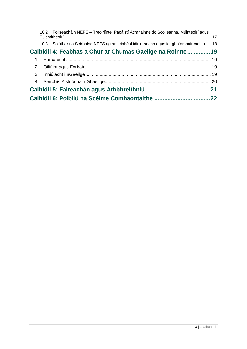|                                                          |  | 10.2 Foilseacháin NEPS - Treoirlínte, Pacáistí Acmhainne do Scoileanna, Múinteoirí agus   |  |  |  |  |
|----------------------------------------------------------|--|-------------------------------------------------------------------------------------------|--|--|--|--|
|                                                          |  | 10.3 Soláthar na Seirbhíse NEPS ag an leibhéal idir-rannach agus idirghníomhaireachta  18 |  |  |  |  |
| Caibidil 4: Feabhas a Chur ar Chumas Gaeilge na Roinne19 |  |                                                                                           |  |  |  |  |
|                                                          |  |                                                                                           |  |  |  |  |
|                                                          |  |                                                                                           |  |  |  |  |
|                                                          |  |                                                                                           |  |  |  |  |
|                                                          |  |                                                                                           |  |  |  |  |
|                                                          |  |                                                                                           |  |  |  |  |
|                                                          |  |                                                                                           |  |  |  |  |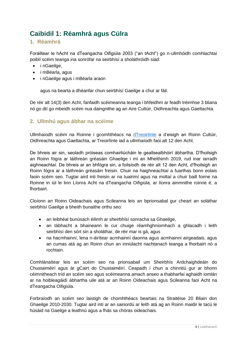## <span id="page-3-0"></span>**Caibidil 1: Réamhrá agus Cúlra**

## <span id="page-3-1"></span>**1. Réamhrá**

Foráiltear le hAcht na dTeangacha Oifigiúla 2003 ("an tAcht") go n-ullmhóidh comhlachtaí poiblí scéim teanga ina sonrófar na seirbhísí a sholáthróidh siad:

- inGaeilge,
- i mBéarla, agus
- inGaeilge agus i mBéarla araon

agus na bearta a dhéanfar chun seirbhísí Gaeilge a chur ar fáil.

De réir alt 14(3) den Acht, fanfaidh scéimeanna teanga i bhfeidhm ar feadh tréimhse 3 bliana nó go dtí go mbeidh scéim nua daingnithe ag an Aire Cultúir, Oidhreachta agus Gaeltachta.

## <span id="page-3-2"></span>**2. Ullmhú agus ábhar na scéime**

Ullmhaíodh scéim na Roinne i gcomhthéacs na [dTreoirlínte](https://www.chg.gov.ie/ga/gaeltacht/the-irish-language/official-languages-act-2003/guidelines-under-section-12-of-the-official-languages-act-2003/) a d'eisigh an Roinn Cultúir, Oidhreachta agus Gaeltachta, ar Treoirlínte iad a ullmhaíodh faoi alt 12 den Acht.

De bhreis air sin, seoladh próiseas comhairliúcháin le geallsealbhóirí ábhartha. D'fhoilsigh an Roinn fógra ar láithreán gréasáin Ghaeilge i mí an Mheithimh 2019, rud inar iarradh aighneachtaí. De bhreis ar an bhfógra sin, a foilsíodh de réir alt 12 den Acht, d'fhoilsigh an Roinn fógra ar a láithreán gréasáin freisin. Chuir na haighneachtaí a fuarthas bonn eolais faoin scéim seo. Tugtar aird inti freisin ar na tuairimí agus na moltaí a chuir baill foirne na Roinne in iúl le linn Líonra Acht na dTeangacha Oifigiúla, ar líonra ainmnithe roinne é, a fhorbairt.

Cloíonn an Roinn Oideachais agus Scileanna leis an bprionsabal gur cheart an soláthar seirbhísí Gaeilge a bheith bunaithe orthu seo:

- an leibhéal bunúsach éilimh ar sheirbhísí sonracha sa Ghaeilge,
- an tábhacht a bhaineann le cur chuige réamhghníomhach a ghlacadh i leith seirbhísí den sórt sin a sholáthar, de réir mar is gá, agus
- na hacmhainní, lena n-áirítear acmhainní daonna agus acmhainní airgeadais, agus an cumas atá ag an Roinn chun an inniúlacht riachtanach teanga a fhorbairt nó a rochtain.

Comhlánaítear leis an scéim seo na prionsabail um Sheirbhís Ardchaighdeáin do Chustaiméirí agus ár gCairt do Chustaiméirí. Ceapadh í chun a chinntiú gur ar bhonn céimnitheach tríd an scéim seo agus scéimeanna amach anseo a thabharfaí aghaidh iomlán ar na hoibleagáidí ábhartha uile atá ar an Roinn Oideachais agus Scileanna faoi Acht na dTeangacha Oifigiúla.

Forbraíodh an scéim seo laistigh de chomhthéacs beartais na Straitéise 20 Bliain don Ghaeilge 2010-2030. Tugtar aird inti ar an sainordú ar leith atá ag an Roinn maidir le tacú le húsáid na Gaeilge a leathnú agus a fhás sa chóras oideachais.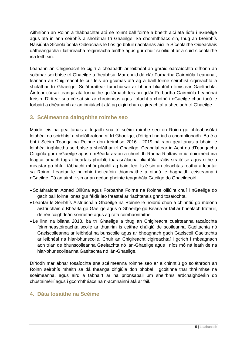Aithníonn an Roinn a thábhachtaí atá sé roinnt ball foirne a bheith aici atá líofa i nGaeilge agus atá in ann seirbhís a sholáthar trí Ghaeilge. Sa chomhthéacs sin, thug an tSeirbhís Náisiúnta Síceolaíochta Oideachais le fios go bhfuil riachtanas aici le Síceolaithe Oideachais dátheangacha i láithreacha réigiúnacha áirithe agus gur chuir sí oiliúint ar a cuid síceolaithe ina leith sin.

Leanann an Chigireacht le cigirí a cheapadh ar leibhéal an ghráid earcaíochta d'fhonn an soláthar seirbhíse trí Ghaeilge a fheabhsú. Mar chuid dá clár Forbartha Gairmiúla Leanúnaí, leanann an Chigireacht le cur leis an gcumas atá ag a baill foirne seirbhísí cigireachta a sholáthar trí Ghaeilge. Soláthraítear tumchúrsaí ar bhonn bliantúil i limistéar Gaeltachta. Áirítear cúrsaí teanga atá lonnaithe go lárnach leis an gclár Forbartha Gairmiúla Leanúnaí freisin. Dírítear sna cúrsaí sin ar chruinneas agus líofacht a chothú i nGaeilge chun tacú le forbairt a dhéanamh ar an inniúlacht atá ag cigirí chun cigireachtaí a sheoladh trí Ghaeilge.

## <span id="page-4-0"></span>**3. Scéimeanna daingnithe roimhe seo**

Maidir leis na gealltanais a tugadh sna trí scéim roimhe seo ón Roinn go bhfeabhsófaí leibhéal na seirbhísí a sholáthraíonn sí trí Ghaeilge, d'éirigh linn iad a chomhlíonadh. Ba é a bhí i Scéim Teanga na Roinne don tréimhse 2016 - 2019 ná raon gealltanas a bhain le leibhéal inghlactha seirbhíse a sholáthar trí Ghaeilge. Ceanglaítear in Acht na dTeangacha Oifigiúla gur i nGaeilge agus i mBéarla araon a chuirfidh Ranna Rialtais in iúl doiciméid ina leagtar amach tograí beartais phoiblí, tuarascálacha bliantúla, ráitis straitéise agus nithe a meastar go bhfuil tábhacht mhór phoiblí ag baint leo. Is é sin an cleachtas reatha a leantar sa Roinn. Leantar le huimhir theileafóin thiomnaithe a oibriú le haghaidh ceisteanna i nGaeilge. Tá an uimhir sin ar an gcéad phointe teagmhála Gaeilge do Ghaeilgeoirí.

- Soláthraíonn Aonad Oiliúna agus Forbartha Foirne na Roinne oiliúint chuí i nGaeilge do gach ball foirne ionas gur féidir leo freastal ar riachtanais ghnó tosaíochta.
- Leantar le Seirbhís Aistriúcháin Ghaeilge na Roinne le hoibriú chun a chinntiú go mbíonn aistriúcháin ó Bhéarla go Gaeilge agus ó Ghaeilge go Béarla ar fáil ar bhealach tráthúil, de réir caighdeán sonraithe agus ag ráta comhaontaithe.
- Le linn na bliana 2018, ba trí Ghaeilge a thug an Chigireacht cuairteanna tacaíochta féinmheastóireachta scoile ar thuairim is ceithre chúigiú de scoileanna Gaeltachta nó Gaelscoileanna ar leibhéal na bunscoile agus ar bheagnach gach Gaelscoil Gaeltachta ar leibhéal na hiar-bhunscoile. Chuir an Chigireacht cigireachtaí i gcrích i mbeagnach aon trian de bhunscoileanna Gaeltachta nó lán-Ghaeilge agus i níos mó ná leath de na hiar-bhunscoileanna Gaeltachta nó lán-Ghaeilge.

Díríodh mar ábhar tosaíochta sna scéimeanna roimhe seo ar a chinntiú go soláthródh an Roinn seirbhís mhaith sa dá theanga oifigiúla don phobal i gcoitinne thar thréimhse na scéimeanna, agus aird á tabhairt ar na prionsabail um sheirbhís ardchaighdeáin do chustaiméirí agus i gcomhthéacs na n-acmhainní atá ar fáil.

## <span id="page-4-1"></span>**4. Dáta tosaithe na Scéime**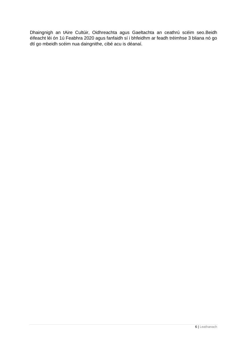Dhaingnigh an tAire Cultúir, Oidhreachta agus Gaeltachta an ceathrú scéim seo.Beidh éifeacht léi ón 1ú Feabhra 2020 agus fanfaidh sí i bhfeidhm ar feadh tréimhse 3 bliana nó go dtí go mbeidh scéim nua daingnithe, cibé acu is déanaí.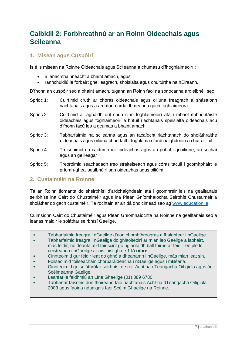## <span id="page-6-0"></span>**Caibidil 2: Forbhreathnú ar an Roinn Oideachais agus Scileanna**

## <span id="page-6-1"></span>**1. Misean agus Cuspóirí**

Is é is misean na Roinne Oideachais agus Scileanna a chumasú d'fhoghlaimeoirí :

- a lánacmhainneacht a bhaint amach, agus
- rannchuidiú le forbairt gheilleagrach, shóisialta agus chultúrtha na hÉireann.

D'fhonn an cuspóir seo a bhaint amach, tugann an Roinn faoi na spriocanna ardleibhéil seo:

- Sprioc 1: Cuirfimid cruth ar chóras oideachais agus oiliúna freagrach a shásaíonn riachtanais agus a ardaíonn ardaidhmeanna gach foghlaimeora.
- Sprioc 2: Cuirfimid ar aghaidh dul chun cinn foghlaimeoirí atá i mbaol míbhuntáiste oideachais agus foghlaimeoirí a bhfuil riachtanais speisialta oideachais acu d'fhonn tacú leo a gcumas a bhaint amach.
- Sprioc 3: Tabharfaimid na scileanna agus an tacaíocht riachtanach do sholáthraithe oideachais agus oiliúna chun taithí foghlama d'ardchaighdeáin a chur ar fáil.
- Sprioc 4: Treiseoimid na caidrimh idir oideachas agus an pobal i gcoitinne, an sochaí agus an geilleagar
- Sprioc 5: Treoróimid seachadadh treo straitéiseach agus córas tacúil i gcomhpháirt le príomh-gheallsealbhóirí san oideachas agus oiliúint.

## <span id="page-6-2"></span>**2. Custaiméirí na Roinne**

Tá an Roinn tiomanta do sheirbhísí d'ardchaighdeáin atá i gcomhréir leis na gealltanais seirbhíse ina Cairt do Chustaiméir agus ina Plean Gníomhaíochta Seirbhís Chustaiméir a sholáthar do gach custaiméir. Tá rochtain ar an dá dhoiciméad seo ag [www.education.ie.](https://www.education.ie/ga/)

Cuimsíonn Cairt do Chustaiméir agus Plean Gníomhaíochta na Roinne na gealltanais seo a leanas maidir le soláthar seirbhísí Gaeilge.

- Tabharfaimid freagra i nGaeilge d'aon chomhfhreagras a fhaightear i nGaeilge.
- Tabharfaimid freagra i nGaeilge do ghlaoiteoirí ar mian leo Gaeilge a labhairt, más féidir, nó déanfaimid tairiscint go nglaofaidh ball foirne ar féidir leo plé le ceisteanna i nGaeilge ar ais laistigh de **1 lá oibre**.
- Cinnteoimid gur féidir leat do ghnó a dhéanamh i nGaeilge, más mian leat sin.
- Foilseoimid foilseacháin chorparáideacha i nGaeilge agus i mBéarla.
- Cinnteoimid go soláthrófar seirbhísí de réir Acht na dTeangacha Oifigiúla agus ár Scéimeanna Gaeilge.
- Leanfar le feidhmiú an Líne Ghaeilge (01) 889 6780.
- Tabharfar faisnéis don fhoireann faoi riachtanais Acht na dTeangacha Oifigiúla 2003 agus faoina ndualgais faoi Scéim Ghaeilge na Roinne.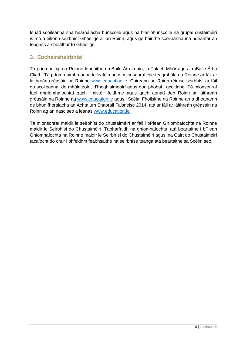Is iad scoileanna sna hearnálacha bunscoile agus na hiar-bhunscoile na grúpaí custaiméirí is mó a éilíonn seirbhísí Ghaeilge ar an Roinn, agus go háirithe scoileanna ina ndéantar an teagasc a sholáthar trí Ghaeilge.

## <span id="page-7-0"></span>**3. Eochairsheirbhísí**

Tá príomhoifigí na Roinne lonnaithe i mBaile Áth Luain, i dTulach Mhór agus i mBaile Átha Cliath. Tá príomh-uimhreacha teileafóin agus mionsonraí eile teagmhála na Roinne ar fáil ar láithreán gréasáin na Roinne [www.education.ie.](https://www.education.ie/ga/) Cuireann an Roinn réimse seirbhísí ar fáil do scoileanna, do mhúinteoirí, d'fhoghlaimeoirí agus don phobal i gcoitinne. Tá mionsonraí faoi ghníomhaíochtaí gach limistéir feidhme agus gach aonad den Roinn ar láithreán gréasáin na Roinne ag [www.education.ie](https://www.education.ie/ga/) agus i Scéim Fhoilsithe na Roinne arna dhéanamh de bhun fhorálacha an Achta um Shaoráil Faisnéise 2014, atá ar fáil ar láithreán gréasáin na Roinn ag an nasc seo a leanas [www.education.ie.](https://www.education.ie/ga/)

Tá mionsonraí maidir le seirbhísí do chustaiméirí ar fáil i bPlean Gníomhaíochta na Roinne maidir le Seirbhísí do Chustaiméirí. Tabharfaidh na gníomhaíochtaí atá beartaithe i bPlean Gníomhaíochta na Roinne maidir le Seirbhísí do Chustaiméirí agus ina Cairt do Chustaiméirí tacaíocht do chur i bhfeidhm feabhsaithe na seirbhíse teanga atá beartaithe sa Scéim seo.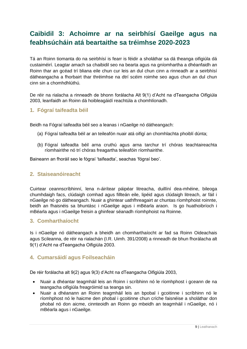## <span id="page-8-0"></span>**Caibidil 3: Achoimre ar na seirbhísí Gaeilge agus na feabhsúcháin atá beartaithe sa tréimhse 2020-2023**

Tá an Roinn tiomanta do na seirbhísí is fearr is féidir a sholáthar sa dá theanga oifigiúla dá custaiméirí. Leagtar amach sa chaibidil seo na bearta agus na gníomhartha a dhéanfaidh an Roinn thar an gcéad trí bliana eile chun cur leis an dul chun cinn a rinneadh ar a seirbhísí dátheangacha a fhorbairt thar thréimhse na dtrí scéim roimhe seo agus chun an dul chun cinn sin a chomhdhlúthú.

De réir na rialacha a rinneadh de bhonn forálacha Alt 9(1) d'Acht na dTeangacha Oifigiúla 2003, leanfaidh an Roinn dá hoibleagáidí reachtúla a chomhlíonadh.

## <span id="page-8-1"></span>**1. Fógraí taifeadta béil**

Beidh na Fógraí taifeadta béil seo a leanas i nGaeilge nó dátheangach:

- (a) Fógraí taifeadta béil ar an teileafón nuair atá oifigí an chomhlachta phoiblí dúnta;
- (b) Fógraí taifeadta béil arna cruthú agus arna tarchur trí chóras teachtaireachta ríomhairithe nó trí chóras freagartha teileafóin ríomhairithe.

Baineann an fhoráil seo le fógraí 'taifeadta', seachas 'fógraí beo'.

## <span id="page-8-2"></span>**2. Staiseanóireacht**

Cuirtear ceannscríbhinní, lena n-áirítear páipéar litreacha, duillíní dea-mhéine, bileoga chumhdaigh facs, clúdaigh comhad agus fillteán eile, lipéid agus clúdaigh litreach, ar fáil i nGaeilge nó go dátheangach. Nuair a ghintear uathfhreagairt ar chuntas ríomhphoist roinnte, beidh an fhaisnéis sa bhuntásc i nGaeilge agus i mBéarla araon. Is go huathoibríoch i mBéarla agus i nGaeilge freisin a ghinfear séanadh ríomhphoist na Roinne.

## <span id="page-8-3"></span>**3. Comharthaíocht**

Is i nGaeilge nó dátheangach a bheidh an chomharthaíocht ar fad sa Roinn Oideachais agus Scileanna, de réir na rialachán (I.R. Uimh. 391/2008) a rinneadh de bhun fhorálacha alt 9(1) d'Acht na dTeangacha Oifigiúla 2003.

## <span id="page-8-4"></span>**4. Cumarsáidí agus Foilseacháin**

De réir forálacha alt 9(2) agus 9(3) d'Acht na dTeangacha Oifigiúla 2003,

- Nuair a dhéantar teagmháil leis an Roinn i scríbhinn nó le ríomhphost i gceann de na teangacha oifigiúla freagróimid sa teanga sin.
- Nuair a dhéanann an Roinn teagmháil leis an bpobal i gcoitinne i scríbhinn nó le ríomhphost nó le haicme den phobal i gcoitinne chun críche faisnéise a sholáthar don phobal nó don aicme, cinnteoidh an Roinn go mbeidh an teagmháil i nGaeilge, nó i mBéarla agus i nGaeilge.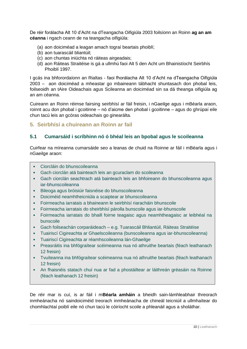De réir forálacha Alt 10 d'Acht na dTeangacha Oifigiúla 2003 foilsíonn an Roinn **ag an am céanna** i ngach ceann de na teangacha oifigiúla:

- (a) aon doiciméad a leagan amach tograí beartais phoiblí;
- (b) aon tuarascáil bliantúil;
- (c) aon chuntas iniúchta nó ráiteas airgeadais;
- (d) aon Ráiteas Straitéise is gá a ullmhú faoi Alt 5 den Acht um Bhainistíocht Seirbhís Phoiblí 1997.

I gcás ina bhforordaíonn an Rialtas - faoi fhorálacha Alt 10 d'Acht na dTeangacha Oifigiúla 2003 – aon doiciméad a mheastar go mbaineann tábhacht shuntasach don phobal leis, foilseoidh an tAire Oideachais agus Scileanna an doiciméad sin sa dá theanga oifigiúla ag an am céanna.

Cuireann an Roinn réimse fairsing seirbhísí ar fáil freisin, i nGaeilge agus i mBéarla araon, roinnt acu don phobal i gcoitinne – nó d'aicme den phobal i gcoitinne – agus do ghrúpaí eile chun tacú leis an gcóras oideachais go ginearálta.

## <span id="page-9-0"></span>**5. Seirbhísí a chuireann an Roinn ar fail**

## <span id="page-9-1"></span>**5.1 Cumarsáid i scríbhinn nó ó bhéal leis an bpobal agus le scoileanna**

Cuirfear na míreanna cumarsáide seo a leanas de chuid na Roinne ar fáil i mBéarla agus i nGaeilge araon:

- Ciorcláin do bhunscoileanna
- Gach ciorclán atá bainteach leis an gcuraclam do scoileanna
- Gach ciorclán seachtrach atá bainteach leis an bhfoireann do bhunscoileanna agus iar-bhunscoileanna
- Bileoga agus bróisiúir faisnéise do bhunscoileanna
- Doiciméid neamhtheicniúla a scaiptear ar bhunscoileanna
- Foirmeacha iarratais a bhaineann le seirbhísí riaracháin bhunscoile
- Foirmeacha iarratais do sheirbhísí párolla bunscoile agus iar-bhunscoile
- Foirmeacha iarratais do bhaill foirne teagaisc agus neamhtheagaisc ar leibhéal na bunscoile
- Gach foilseachán corparáideach e.g. Tuarascáil Bhliantúil, Ráiteas Straitéise
- Tuairiscí Cigireachta ar Ghaelscoileanna (bunscoileanna agus iar-bhunscoileanna)
- Tuairiscí Cigireachta ar réamhscoileanna lán-Ghaeilge
- Preasráitis ina bhfógraítear scéimeanna nua nó athruithe beartais (féach leathanach 12 freisin)
- Tvuíteanna ina bhfógraítear scéimeanna nua nó athruithe beartais (féach leathanach 12 freisin)
- An fhaisnéis statach chuí nua ar fad a phostáiltear ar láithreán gréasáin na Roinne (féach leathanach 12 freisin)

De réir mar is cuí, is ar fáil i m**Béarla amháin** a bheidh sain-lámhleabhair threorach inmheánacha nó saindoiciméid treorach inmheánacha de chineál teicniúil a ullmhaítear do chomhlachtaí poiblí eile nó chun tacú le cóiríocht scoile a phleanáil agus a sholáthar.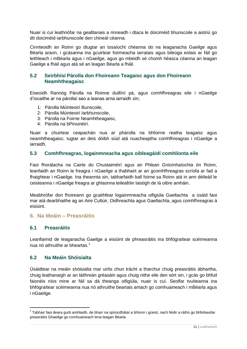Nuair is cuí leathnófar na gealltanais a rinneadh i dtaca le doiciméid bhunscoile a aistriú go dtí doiciméid iarbhunscoile den chineál céanna.

Cinnteoidh an Roinn go dtugtar an tosaíocht chéanna do na leaganacha Gaeilge agus Béarla araon, i gcásanna ina gcuirtear foirmeacha iarratais agus bileoga eolais ar fáil go leithleach i mBéarla agus i nGaeilge, agus go mbeidh sé chomh héasca céanna an leagan Gaeilge a fháil agus atá sé an leagan Béarla a fháil.

## <span id="page-10-0"></span>**5.2 Seirbhísí Párolla don Fhoireann Teagaisc agus don Fhoireann Neamhtheagaisc**

Eiseoidh Rannóg Párolla na Roinne duillíní pá, agus comhfhreagras eile i nGaeilge d'íocaithe ar na párollaí seo a leanas arna iarraidh sin;

- 1: Párolla Múinteoirí Bunscoile,
- 2: Párolla Múinteoirí Iarbhunscoile,
- 3: Párolla na Foirne Neamhtheagaisc,
- 4: Párolla na bPinsinéirí.

Nuair a chuirtear ceapachán nua ar phárolla na bhfoirne reatha teagaisc agus neamhtheagaisc, tugtar an deis dóibh siúd atá nuacheaptha comhfhreagras i nGaeilge a iarraidh.

#### <span id="page-10-1"></span>**5.3 Comhfhreagras, logainmneacha agus oibleagáidí comhlíonta eile**

Faoi fhorálacha na Cairte do Chustaiméirí agus an Phlean Gníomhaíochta ón Roinn, leanfaidh an Roinn le freagra i nGaeilge a thabhairt ar an gcomhfhreagras scríofa ar fad a fhaightear i nGaeilge. Ina theannta sin, tabharfaidh ball foirne sa Roinn atá in ann déileáil le ceisteanna i nGaeilge freagra ar ghlaonna teileafóin laistigh de lá oibre amháin.

Meabhrófar don fhoireann go gcaithfear logainmneacha oifigiúla Gaeltachta a úsáid faoi mar atá dearbhaithe ag an Aire Cultúir, Oidhreachta agus Gaeltachta, agus comhfhreagras á eisiúint.

#### <span id="page-10-2"></span>**6. Na Meáin – Preasráitis**

#### <span id="page-10-3"></span>**6.1 Preasráitis**

1

Leanfaimid de leaganacha Gaeilge a eisiúint de phreasráitis ina bhfógraítear scéimeanna nua nó athruithe ar bheartas.<sup>1</sup>

#### <span id="page-10-4"></span>**6.2 Na Meáin Shóisialta**

Úsáidtear na meáin shóisialta mar uirlis chun trácht a tharchur chuig preasráitis ábhartha, chuig leathanaigh ar an láithreán gréasáin agus chuig nithe eile den sórt sin, i gcás go bhfuil faisnéis níos mine ar fáil sa dá theanga oifigiúla, nuair is cuí. Seolfar tvuíteanna ina bhfógraítear scéimeanna nua nó athruithe beartais amach go comhuaineach i mBéarla agus i nGaeilge.

<sup>&</sup>lt;sup>1</sup> Tabhair faoi deara gurb amhlaidh, de bharr na spriocdhátaí a bhíonn i gceist, nach féidir a ráthú go bhfoilseofar preasráitis Ghaeilge go comhuaineach lena leagan Béarla.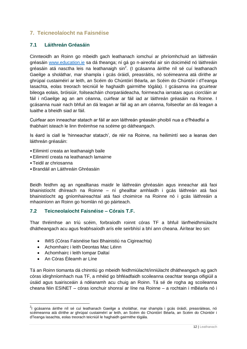## <span id="page-11-0"></span>**7. Teicneolaíocht na Faisnéise**

## <span id="page-11-1"></span>**7.1 Láithreán Gréasáin**

Cinnteoidh an Roinn go mbeidh gach leathanach iomchuí ar phríomhchuid an láithreáin gréasáin [www.education.ie](https://www.education.ie/ga/) sa dá theanga; ní gá go n-aireofaí air sin doiciméid nó láithreáin gréasáin atá nasctha leis na leathanaigh sin $^2$ . (I gcásanna áirithe níl sé cuí leathanach Gaeilge a sholáthar, mar shampla i gcás óráidí, preasráitis, nó scéimeanna atá dírithe ar ghrúpaí custaiméirí ar leith, an Scéim do Chúntóirí Béarla, an Scéim do Chúntóir i dTeanga Iasachta, eolas treorach teicniúil le haghaidh gairmithe tógála). I gcásanna ina gcuirtear bileoga eolais, bróisiúir, foilseacháin chorparáideacha, foirmeacha iarratais agus ciorcláin ar fáil i nGaeilge ag an am céanna, cuirfear ar fáil iad ar láithreán gréasáin na Roinne. I gcásanna nuair nach bhfuil an dá leagan ar fáil ag an am céanna, foilseofar an dá leagan a luaithe a bheidh siad ar fáil.

Cuirfear aon inneachar statach ar fáil ar aon láithreán gréasáin phoiblí nua a d'fhéadfaí a thabhairt isteach le linn thréimhse na scéime go dátheangach.

Is éard is ciall le 'hinneachar statach', de réir na Roinne, na heilimintí seo a leanas den láithreán gréasáin:

- •Eilimintí creata an leathanaigh baile
- •Eilimintí creata na leathanach lamairne
- •Teidil ar chriosanna
- •Brandáil an Láithreáin Ghréasáin

Beidh feidhm ag an ngealltanas maidir le láithreáin ghréasáin agus inneachar atá faoi bhainistíocht dhíreach na Roinne – ní ghealltar amhlaidh i gcás láithreán atá faoi bhainistíocht ag gníomhaireachtaí atá faoi choimirce na Roinne nó i gcás láithreáin a mhaoiníonn an Roinn go hiomlán nó go páirteach.

## <span id="page-11-2"></span>**7.2 Teicneolaíocht Faisnéise – Córais T.F.**

Thar thréimhse an tríú scéim, forbraíodh roinnt córas TF a bhfuil lánfheidhmiúlacht dhátheangach acu agus feabhsaíodh arís eile seirbhísí a bhí ann cheana. Áirítear leo sin:

- IMIS (Córas Faisnéise faoi Bhainistiú na Cigireachta)
- Achomhairc i leith Deontas Mac Léinn
- Achomhairc i leith Iompar Daltaí
- An Córas Éileamh ar Líne

**.** 

Tá an Roinn tiomanta dá chinntiú go mbeidh feidhmiúlacht/inniúlacht dhátheangach ag gach córas idirghníomhach nua TF, a mhéid go bhféadfaidh scoileanna ceachtar teanga oifigiúil a úsáid agus tuairisceáin á ndéanamh acu chuig an Roinn. Tá sé de rogha ag scoileanna cheana féin ESINET – córas ionchuir shonraí ar líne na Roinne – a rochtain i mBéarla nó i

<sup>&</sup>lt;sup>2</sup>l gcásanna áirithe níl sé cuí leathanach Gaeilge a sholáthar, mar shampla i gcás óráidí, preasráiteas, nó scéimeanna atá dírithe ar ghrúpaí custaiméirí ar leith, an Scéim do Chúntóirí Béarla, an Scéim do Chúntóir i dTeanga Iasachta, eolas treorach teicniúil le haghaidh gairmithe tógála.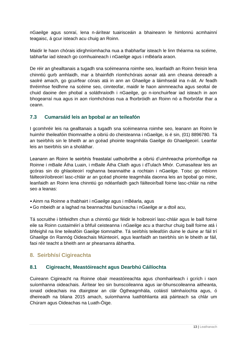nGaeilge agus sonraí, lena n-áirítear tuairisceáin a bhaineann le himlonnú acmhainní teagaisc, á gcur isteach acu chuig an Roinn.

Maidir le haon chórais idirghníomhacha nua a thabharfar isteach le linn théarma na scéime, tabharfar iad isteach go comhuaineach i nGaeilge agus i mBéarla araon.

De réir an ghealltanais a tugadh sna scéimeanna roimhe seo, leanfaidh an Roinn freisin lena chinntiú gurb amhlaidh, mar a bhainfidh ríomhchórais aonair atá ann cheana deireadh a saolré amach, go gcuirfear córais atá in ann an Ghaeilge a láimhseáil ina n-áit. Ar feadh thréimhse feidhme na scéime seo, cinnteofar, maidir le haon ainmneacha agus seoltaí de chuid daoine den phobal a soláthraíodh i nGaeilge, go n-ionchuirfear iad isteach in aon bhogearraí nua agus in aon ríomhchóras nua a fhorbróidh an Roinn nó a fhorbrófar thar a ceann.

## <span id="page-12-0"></span>**7.3 Cumarsáid leis an bpobal ar an teileafón**

I gcomhréir leis na gealltanais a tugadh sna scéimeanna roimhe seo, leanann an Roinn le huimhir theileafóin thiomnaithe a oibriú do cheisteanna i nGaeilge, is é sin, (01) 8896780. Tá an tseirbhís sin le bheith ar an gcéad phointe teagmhála Gaeilge do Ghaeilgeoirí. Leanfar leis an tseirbhís sin a sholáthar.

Leanann an Roinn le seirbhís freastalaí uathoibrithe a oibriú d'uimhreacha príomhoifige na Roinne i mBaile Átha Luain, i mBaile Átha Cliath agus i dTulach Mhór. Cumasaítear leis an gcóras sin do ghlaoiteoirí roghanna beannaithe a rochtain i nGaeilge. Toisc go mbíonn fáilteoirí/oibreoirí lasc-chláir ar an gcéad phointe teagmhála daonna leis an bpobal go minic, leanfaidh an Roinn lena chinntiú go ndéanfaidh gach fáilteoir/ball foirne lasc-chláir na nithe seo a leanas:

- •Ainm na Roinne a thabhairt i nGaeilge agus i mBéarla, agus
- •Go mbeidh ar a laghad na beannachtaí bunúsacha i nGaeilge ar a dtoil acu,

Tá socruithe i bhfeidhm chun a chinntiú gur féidir le hoibreoirí lasc-chláir agus le baill foirne eile sa Roinn custaiméirí a bhfuil ceisteanna i nGaeilge acu a tharchur chuig baill foirne atá i bhfeighil na líne teileafóin Gaeilge tiomnaithe. Tá seirbhís teileafóin duine le duine ar fáil trí Ghaeilge ón Rannóg Oideachais Múinteoirí, agus leanfaidh an tseirbhís sin le bheith ar fáil, faoi réir teacht a bheith ann ar phearsanra ábhartha.

## <span id="page-12-1"></span>**8. Seirbhísí Cigireachta**

## <span id="page-12-2"></span>**8.1 Cigireacht, Meastóireacht agus Dearbhú Cáilíochta**

Cuireann Cigireacht na Roinne obair meastóireachta agus chomhairleach i gcrích i raon suíomhanna oideachais. Áirítear leo sin bunscoileanna agus iar-bhunscoileanna aitheanta, ionaid oideachais ina dtairgtear an clár Ógtheagmhála, coláistí talmhaíochta agus, ó dheireadh na bliana 2015 amach, suíomhanna luathbhlianta atá páirteach sa chlár um Chúram agus Oideachas na Luath-Óige.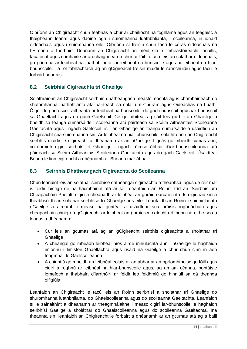Oibríonn an Chigireacht chun feabhas a chur ar cháilíocht na foghlama agus an teagaisc a fhaigheann leanaí agus daoine óga i suíomhanna luathbhlianta, i scoileanna, in ionaid oideachais agus i suíomhanna eile. Oibríonn sí freisin chun tacú le córas oideachais na hÉireann a fhorbairt. Déanann an Chigireacht an méid sin trí mheastóireacht, anailís, tacaíocht agus comhairle ar ardchaighdeán a chur ar fáil i dtaca leis an soláthar oideachais, go príomha ar leibhéal na luathbhlianta, ar leibhéal na bunscoile agus ar leibhéal na hiarbhunscoile. Tá ról tábhachtach ag an gCigireacht freisin maidir le rannchuidiú agus tacú le forbairt beartais.

## <span id="page-13-0"></span>**8.2 Seirbhísí Cigireachta trí Ghaeilge**

Soláthraíonn an Chigireacht seirbhís dhátheangach meastóireachta agus chomhairleach do shuíomhanna luathbhlianta atá páirteach sa chlár um Chúram agus Oideachas na Luath-Óige, do gach scoil aitheanta ar leibhéal na bunscoile, do gach bunscoil agus iar-bhunscoil sa Ghaeltacht agus do gach Gaelscoil. Cé go mbítear ag súil leis gurb í an Ghaeilge a bheidh sa teanga cumarsáide i scoileanna atá páirteach sa Scéim Aitheantais Scoileanna Gaeltachta agus i ngach Gaelscoil, is í an Ghaeilge an teanga cumarsáide a úsáidfidh an Chigireacht sna suíomhanna sin. Ar leibhéal na hiar-bhunscoile, soláthraíonn an Chigireacht seirbhís maidir le cigireacht a dhéanamh ar an nGaeilge. I gcás go mbeidh cumas ann, soláthróidh cigirí seirbhís trí Ghaeilge i ngach réimse ábhair d'iar-bhunscoileanna atá páirteach sa Scéim Aitheantais Scoileanna Gaeltachta agus do gach Gaelscoil. Úsáidtear Béarla le linn cigireacht a dhéanamh ar Bhéarla mar ábhar.

## <span id="page-13-1"></span>**8.3 Seirbhís Dhátheangach Cigireachta do Scoileanna**

Chun leanúint leis an soláthar seirbhíse dátheangaí cigireachta a fheabhsú, agus de réir mar is féidir laistigh de na hacmhainní atá ar fáil, déanfaidh an Roinn, tríd an tSeirbhís um Cheapacháin Phoiblí, cigirí a cheapadh ar leibhéal an ghráid earcaíochta. Is cigirí iad sin a fheabhsóidh an soláthar seirbhíse trí Ghaeilge arís eile. Leanfaidh an Roinn le hinniúlacht i nGaeilge a áireamh i measc na gcritéar a úsáidtear sna próisis roghnúcháin agus cheapacháin chuig an gCigireacht ar leibhéal an ghráid earcaíochta d'fhonn na nithe seo a leanas a dhéanamh:

- Cur leis an gcumas atá ag an gCigireacht seirbhís cigireachta a sholáthar trí **Ghaeilge**
- A cheangal go mbeadh leibhéal níos airde inniúlachta ann i nGaeilge le haghaidh imlonnú i limistéir Ghaeltachta agus úsáid na Gaeilge a chur chun cinn in aon teagmháil le Gaelscoileanna
- A chinntiú go mbeidh ardleibhéal eolais ar an ábhar ar an bpríomhthoisc go fóill agus cigirí á roghnú ar leibhéal na hiar-bhunscoile agus, ag an am céanna, buntáiste iomaíoch a thabhairt d'iarrthóirí ar féidir leo feidhmiú go hinniúil sa dá theanga oifigiúla.

Leanfaidh an Chigireacht le tacú leis an Roinn seirbhísí a sholáthar trí Ghaeilge do shuíomhanna luathbhlianta, do Ghaelscoileanna agus do scoileanna Gaeltachta. Leanfaidh sí le sainaithint a dhéanamh ar theagmhálaithe i measc cigirí iar-bhunscoile le haghaidh seirbhísí Gaeilge a sholáthar do Ghaelscoileanna agus do scoileanna Gaeltachta. Ina theannta sin, leanfaidh an Chigireacht le forbairt a dhéanamh ar an gcumas atá ag a baill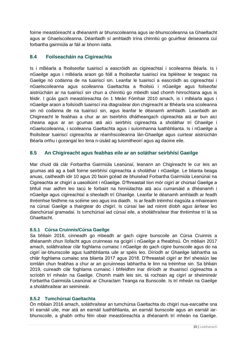foirne meastóireacht a dhéanamh ar bhunscoileanna agus iar-bhunscoileanna sa Ghaeltacht agus ar Ghaelscoileanna. Déanfaidh sí amhlaidh trína chinntiú go gcuirfear deiseanna cuí forbartha gairmiúla ar fáil ar bhonn rialta.

## <span id="page-14-0"></span>**8.4 Foilseacháin na Cigireachta**

Is i mBéarla a fhoilseofar tuairiscí a eascróidh as cigireachtaí i scoileanna Béarla. Is i nGaeilge agus i mBéarla araon go fóill a fhoilseofar tuairiscí ina bpléitear le teagasc na Gaeilge nó codanna de na tuairiscí sin. Leanfar le tuairiscí a eascróidh as cigireachtaí i nGaelscoileanna agus scoileanna Gaeltachta a fhoilsiú i nGaeilge agus foilseofar aistriúcháin ar na tuairiscí sin chun a chinntiú go mbeidh siad chomh hinrochtana agus is féidir. I gcás gach meastóireachta ón 1 Meán Fómhair 2010 amach, is i mBéarla agus i nGaeilge araon a foilsíodh tuairiscí ina dtagraítear don chigireacht ar Bhéarla sna scoileanna sin nó codanna de na tuairiscí sin, agus leanfar le déanamh amhlaidh. Leanfaidh an Chigireacht le feabhas a chur ar an tseirbhís dhátheangach cigireachta atá ar bun aici cheana agus ar an gcumas atá aici seirbhís cigireachta a sholáthar trí Ghaeilge i nGaelscoileanna, i scoileanna Gaeltachta agus i suíomhanna luathbhlianta. Is i nGaeilge a fhoilsítear tuairiscí cigireachta ar réamhscoileanna lán-Ghaeilge agus cuirtear aistriúchán Béarla orthu i gceangal leo lena n-úsáid ag tuismitheoirí agus ag daoine eile.

## <span id="page-14-1"></span>**8.5 An Chigireacht agus feabhas eile ar an soláthar seirbhísí Gaeilge**

Mar chuid dá clár Forbartha Gairmiúla Leanúnaí, leanann an Chigireacht le cur leis an gcumas atá ag a baill foirne seirbhísí cigireachta a sholáthar i nGaeilge. Le blianta beaga anuas, caitheadh idir 10 agus 20 faoin gcéad de bhuiséad Forbartha Gairmiúla Leanúnaí na Cigireachta ar chigirí a uasoiliúint i nGaeilge. D'fhreastail líon mór cigirí ar chúrsaí Gaeilge a bhfuil mar aidhm leo tacú le forbairt na hinniúlachta atá acu cumarsáid a dhéanamh i nGaeilge agus cigireachtaí a sheoladh trí Ghaeilge. Leanfar le déanamh amhlaidh ar feadh thréimhse feidhme na scéime seo agus ina diaidh. Is ar feadh tréimhsí éagsúla a mhaireann na cúrsaí Gaeilge a thairgtear do chigirí. Is cúrsaí lae iad roinnt díobh agus áirítear leo dianchúrsaí gramadaí. Is tumchúrsaí iad cúrsaí eile, a sholáthraítear thar thréimhse trí lá sa Ghaeltacht.

## **8.5.1 Cúrsa Cruinnis/Cúrsa Gaeilge**

Sa bhliain 2016, cinneadh go mbeadh ar gach cigire bunscoile an Cúrsa Cruinnis a dhéanamh chun líofacht agus cruinneas na gcigirí i nGaeilge a fheabhsú. Ón mbliain 2017 amach, soláthraítear clár foghlama cumaisc i nGaeilge do gach cigire bunscoile agus do na cigirí iar-bhunscoile agus luathbhlianta uile ar spéis leo. Díríodh ar Ghaeilge labhartha sa chlár foghlama cumaisc sna blianta 2017 agus 2018. D'fhreastail cigirí ar thrí sheisiún lae iomláin chun feabhas a chur ar an gcruinneas labhartha le linn na tréimhse sin. Sa bhliain 2019, cuireadh clár foghlama cumaisc i bhfeidhm inar díríodh ar thuairiscí cigireachta a scríobh trí mheán na Gaeilge. Chomh maith leis sin, tá rochtain ag cigirí ar sheimineár Forbartha Gairmiúla Leanúnaí ar Churaclam Teanga na Bunscoile. Is trí mheán na Gaeilge a sholáthraítear an seimineár.

## **8.5.2 Tumchúrsaí Gaeltachta**

Ón mbliain 2016 amach, soláthraítear an tumchúrsa Gaeltachta do chigirí nua-earcaithe sna trí earnáil uile, mar atá an earnáil luathbhlianta, an earnáil bunscoile agus an earnáil iarbhunscoile, a ghabh orthu féin obair meastóireachta a dhéanamh trí mheán na Gaeilge.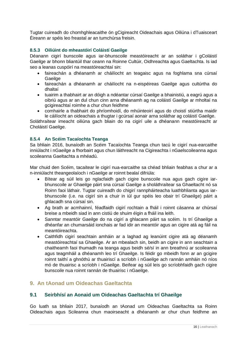Tugtar cuireadh do chomhghleacaithe ón gCigireacht Oideachais agus Oiliúna i dTuaisceart Éireann ar spéis leo freastal ar an tumchúrsa freisin.

#### **8.5.3 Oiliúint do mheastóirí Coláistí Gaeilge**

Déanann cigirí bunscoile agus iar-bhunscoile meastóireacht ar an soláthar i gColáistí Gaeilge ar bhonn bliantúil thar ceann na Roinne Cultúir, Oidhreachta agus Gaeltachta. Is iad seo a leanas cuspóirí na meastóireachtaí sin:

- faireachán a dhéanamh ar cháilíocht an teagaisc agus na foghlama sna cúrsaí Gaeilge
- faireachán a dhéanamh ar cháilíocht na n-eispéireas Gaeilge agus cultúrtha do dhaltaí
- tuairim a thabhairt ar an dóigh a ndéantar cúrsaí Gaeilge a bhainistiú, a eagrú agus a oibriú agus ar an dul chun cinn arna dhéanamh ag na coláistí Gaeilge ar mholtaí na gcigireachtaí roimhe a chur chun feidhme
- comhairle a thabhairt do phríomhoidí, do mhúinteoirí agus do choistí stiúrtha maidir le cáilíocht an oideachais a thugtar i gcúrsaí aonair arna soláthar ag coláistí Gaeilge.

Soláthraítear imeacht oiliúna gach bliain do na cigirí uile a dhéanann meastóireacht ar Choláistí Gaeilge.

#### **8.5.4 An Scéim Tacaíochta Teanga**

Sa bhliain 2016, bunaíodh an Scéim Tacaíochta Teanga chun tacú le cigirí nua-earcaithe inniúlacht i nGaeilge a fhorbairt agus chun láithreacht na Cigireachta i nGaelscoileanna agus scoileanna Gaeltachta a mhéadú.

Mar chuid den Scéim, tacaítear le cigirí nua-earcaithe sa chéad bhliain feabhas a chur ar a n-inniúlacht theangeolaíoch i nGaeilge ar roinnt bealaí difriúla:

- Bítear ag súil leis go nglacfaidh gach cigire bunscoile nua agus gach cigire iarbhunscoile ar Ghaeilge páirt sna cúrsaí Gaeilge a sholáthraítear sa Ghaeltacht nó sa Roinn faoi láthair. Tugtar cuireadh do chigirí rannpháirteacha luathbhlianta agus iarbhunscoile (i.e. na cigirí sin a chuir in iúl gur spéis leo obair trí Ghaeilge) páirt a ghlacadh sna cúrsaí sin.
- Ag brath ar acmhainní, féadfaidh cigirí rochtain a fháil i roinnt cásanna ar chúrsaí breise a mbeidh siad in ann cistiú de shuim éigin a fháil ina leith.
- Sanntar meantóir Gaeilge do na cigirí a ghlacann páirt sa scéim. Is trí Ghaeilge a dhéanfar an chumarsáid ionchais ar fad idir an meantóir agus an cigire atá ag fáil na meantóireachta.
- Caithfidh cigirí seachtain amháin ar a laghad ag leanúint cigire atá ag déanamh meastóireachtaí sa Ghaeilge. Ar an mbealach sin, beidh an cigire in ann seachtain a chaitheamh faoi thumadh na teanga agus beidh sé/sí in ann breathnú ar scoileanna agus teagmháil a dhéanamh leo trí Ghaeilge. Is féidir go mbeidh fonn ar an gcigire roinnt taithí a ghnóthú ar thuairiscí a scríobh i nGaeilge ach rannán amháin nó níos mó de thuairisc a scríobh i nGaeilge. Beifear ag súil leis go scríobhfaidh gach cigire bunscoile nua roinnt rannán de thuairisc i nGaeilge.

## <span id="page-15-0"></span>**9. An tAonad um Oideachas Gaeltachta**

## <span id="page-15-1"></span>**9.1 Seirbhísí an Aonaid um Oideachas Gaeltachta trí Ghaeilge**

Go luath sa bhliain 2017, bunaíodh an tAonad um Oideachas Gaeltachta sa Roinn Oideachais agus Scileanna chun maoirseacht a dhéanamh ar chur chun feidhme an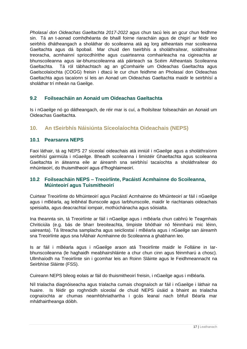*Pholasaí don Oideachas Gaeltachta 2017-2022* agus chun tacú leis an gcur chun feidhme sin. Tá an t-aonad comhdhéanta de bhaill foirne riaracháin agus de chigirí ar féidir leo seirbhís dhátheangach a sholáthar do scoileanna atá ag lorg aitheantais mar scoileanna Gaeltachta agus dá bpobail. Mar chuid den tseirbhís a sholáthraítear, soláthraítear treoracha, acmhainní spriocdhírithe agus cuairteanna comhairleacha na cigireachta ar bhunscoileanna agus iar-bhunscoileanna atá páirteach sa Scéim Aitheantais Scoileanna Gaeltachta. Tá ról tábhachtach ag an gComhairle um Oideachas Gaeltachta agus Gaelscolaíochta (COGG) freisin i dtacú le cur chun feidhme an Pholasaí don Oideachas Gaeltachta agus tacaíonn sí leis an Aonad um Oideachas Gaeltachta maidir le seirbhísí a sholáthar trí mheán na Gaeilge.

## <span id="page-16-0"></span>**9.2 Foilseacháin an Aonaid um Oideachas Gaeltachta**

Is i nGaeilge nó go dátheangach, de réir mar is cuí, a fhoilsítear foilseacháin an Aonaid um Oideachas Gaeltachta.

<span id="page-16-1"></span>**10. An tSeirbhís Náisiúnta Síceolaíochta Oideachais (NEPS)**

## <span id="page-16-2"></span>**10.1 Pearsanra NEPS**

Faoi láthair, tá ag NEPS 27 síceolaí oideachais atá inniúil i nGaeilge agus a sholáthraíonn seirbhísí gairmiúla i nGaeilge. Bheadh scoileanna i limistéir Ghaeltachta agus scoileanna Gaeltachta in áiteanna eile ar áireamh sna seirbhísí tacaíochta a sholáthraítear do mhúinteoirí, do thuismitheoirí agus d'fhoghlaimeoirí.

## <span id="page-16-3"></span>**10.2 Foilseacháin NEPS – Treoirlínte, Pacáistí Acmhainne do Scoileanna, Múinteoirí agus Tuismitheoirí**

Cuirtear Treoirlínte do Mhúinteoirí agus Pacáistí Acmhainne do Mhúinteoirí ar fáil i nGaeilge agus i mBéarla, ag leibhéal Bunscoile agus Iarbhunscoile, maidir le riachtanais oideachais speisialta, agus deacrachtaí iompair, mothúchánacha agus sóisialta.

Ina theannta sin, tá Treoirlínte ar fáil i nGaeilge agus i mBéarla chun cabhrú le Teagmhais Chriticiúla (e.g. bás de bharr breoiteachta, timpiste bhóthair nó féinmharú mic léinn, uaireanta). Tá litreacha samplacha agus seicliostaí i mBéarla agus i nGaeilge san áireamh sna Treoirlínte agus sna hÁbhair Acmhainne do Scoileanna a ghabhann leo.

Is ar fáil i mBéarla agus i nGaeilge araon atá Treoirlínte maidir le Folláine in Iarbhunscoileanna (le haghaidh meabhairshláinte a chur chun cinn agus féinmharú a chosc). Ullmhaíodh na Treoirlínte sin i gcomhar leis an Roinn Sláinte agus le Feidhmeannacht na Seirbhíse Sláinte (FSS).

Cuireann NEPS bileog eolais ar fáil do thuismitheoirí freisin, i nGaeilge agus i mBéarla.

Níl trialacha diagnóiseacha agus trialacha cumais chognaíoch ar fáil i nGaeilge i láthair na huaire. Is féidir go roghnóidh síceolaí de chuid NEPS úsáid a bhaint as trialacha cognaíochta ar chumas neamhbhriathartha i gcás leanaí nach bhfuil Béarla mar mháthairtheanga dóibh.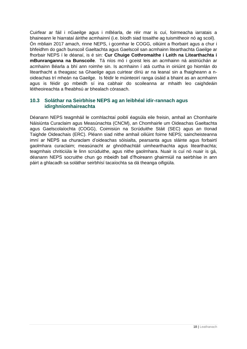Cuirfear ar fáil i nGaeilge agus i mBéarla, de réir mar is cuí, foirmeacha iarratais a bhaineann le hiarrataí áirithe acmhainní (i.e. bíodh siad tosaithe ag tuismitheoir nó ag scoil). Ón mbliain 2017 amach, rinne NEPS, i gcomhar le COGG, oiliúint a fhorbairt agus a chur i bhfeidhm do gach bunscoil Gaeltachta agus Gaelscoil san acmhainn litearthachta Gaeilge ar fhorbair NEPS í le déanaí, is é sin: **Cur Chuige Cothromaithe i Leith na Litearthachta i mBunranganna na Bunscoile**. Tá níos mó i gceist leis an acmhainn ná aistriúchán ar acmhainn Béarla a bhí ann roimhe sin. Is acmhainn í atá curtha in oiriúint go hiomlán do litearthacht a theagasc sa Ghaeilge agus cuirtear díriú ar na leanaí sin a fhaigheann a noideachas trí mheán na Gaeilge. Is féidir le múinteoirí ranga úsáid a bhaint as an acmhainn agus is féidir go mbeidh sí ina cabhair do scoileanna ar mhaith leo caighdeáin léitheoireachta a fheabhsú ar bhealach córasach.

## <span id="page-17-0"></span>**10.3 Soláthar na Seirbhíse NEPS ag an leibhéal idir-rannach agus idirghníomhaireachta**

Déanann NEPS teagmháil le comhlachtaí poiblí éagsúla eile freisin, amhail an Chomhairle Náisiúnta Curaclaim agus Measúnachta (CNCM), an Chomhairle um Oideachas Gaeltachta agus Gaelscolaíochta (COGG), Coimisiún na Scrúduithe Stáit (SEC) agus an tIonad Taighde Oideachais (ERC). Pléann siad nithe amhail oiliúint foirne NEPS; saincheisteanna imní ar NEPS sa churaclam d'oideachas sóisialta, pearsanta agus sláinte agus forbairtí gaolmhara curaclaim; measúnacht ar ghnóthachtáil uimhearthachta agus litearthachta; teagmhais chriticiúla le linn scrúduithe, agus nithe gaolmhara. Nuair is cuí nó nuair is gá, déanann NEPS socruithe chun go mbeidh ball d'fhoireann ghairmiúil na seirbhíse in ann páirt a ghlacadh sa soláthar seirbhísí tacaíochta sa dá theanga oifigiúla.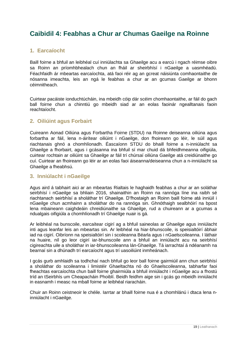## <span id="page-18-0"></span>**Caibidil 4: Feabhas a Chur ar Chumas Gaeilge na Roinne**

## <span id="page-18-1"></span>**1. Earcaíocht**

Baill foirne a bhfuil an leibhéal cuí inniúlachta sa Ghaeilge acu a earcú i ngach réimse oibre sa Roinn an príomhbhealach chun an fháil ar sheirbhísí i nGaeilge a uasmhéadú. Féachfaidh ár mbeartas earcaíochta, atá faoi réir ag an gcreat náisiúnta comhaontaithe de nósanna imeachta, leis an ngá le feabhas a chur ar an gcumas Gaeilge ar bhonn céimnitheach.

Cuirtear pacáiste ionduchtúcháin, ina mbeidh cóip dár scéim chomhaontaithe, ar fáil do gach ball foirne chun a chinntiú go mbeidh siad ar an eolas faoinár ngealltanais faoin reachtaíocht.

## <span id="page-18-2"></span>**2. Oiliúint agus Forbairt**

Cuireann Aonad Oiliúna agus Forbartha Foirne (STDU) na Roinne deiseanna oiliúna agus forbartha ar fáil, lena n-áirítear oiliúint i nGaeilge, don fhoireann go léir, le súil agus riachtanais ghnó a chomhlíonadh. Éascaíonn STDU do bhaill foirne a n-inniúlacht sa Ghaeilge a fhorbairt, agus i gcásanna ina bhfuil sí mar chuid dá bhfeidhmeanna oifigiúla, cuirtear rochtain ar oiliúint sa Ghaeilge ar fáil trí chúrsaí oiliúna Gaeilge atá creidiúnaithe go cuí. Cuirtear an fhoireann go léir ar an eolas faoi áiseanna/deiseanna chun a n-inniúlacht sa Ghaeilge a fheabhsú.

## <span id="page-18-3"></span>**3. Inniúlacht i nGaeilge**

Agus aird á tabhairt aici ar an mbeartas Rialtais le haghaidh feabhas a chur ar an soláthar seirbhísí i nGaeilge sa bhliain 2016, shainaithin an Roinn na rannóga líne ina raibh sé riachtanach seirbhísí a sholáthar trí Ghaeilge. D'fhostaigh an Roinn baill foirne atá inniúil i nGaeilge chun acmhainn a sholáthar do na rannóga sin. Ghnóthaigh sealbhóirí na bpost lena mbaineann caighdeáin chreidiúnaithe sa Ghaeilge, rud a chuireann ar a gcumas a ndualgais oifigiúla a chomhlíonadh trí Ghaeilge nuair is gá.

Ar leibhéal na bunscoile, earcaítear cigirí ag a bhfuil saineolas ar Ghaeilge agus inniúlacht inti agus leanfar leis an mbeartas sin. Ar leibhéal na hiar-bhunscoile, is speisialtóirí ábhair iad na cigirí. Oibríonn na speisialtóirí sin i scoileanna Béarla agus i nGaelscoileanna. I láthair na huaire, níl go leor cigirí iar-bhunscoile ann a bhfuil an inniúlacht acu na seirbhísí cigireachta uile a sholáthar in iar-bhunscoileanna lán-Ghaeilge. Tá iarrachtaí á ndéanamh na bearnaí sin a dhúnadh trí earcaíocht agus trí uasoiliúint inmheánach.

I gcás gurb amhlaidh sa todhchaí nach bhfuil go leor ball foirne gairmiúil ann chun seirbhísí a sholáthar do scoileanna i limistéir Ghaeltachta nó do Ghaelscoileanna, tabharfar faoi fheachtas earcaíochta chun baill foirne ghairmiúla a bhfuil inniúlacht i nGaeilge acu a fhostú tríd an tSeirbhís um Cheapacháin Phoiblí. Beidh feidhm aige sin i gcás go mbeidh inniúlacht in easnamh i measc na mball foirne ar leibhéal riaracháin.

Chuir an Roinn ceistneoir le chéile. Iarrtar ar bhaill foirne nua é a chomhlánú i dtaca lena ninniúlacht i nGaeilge.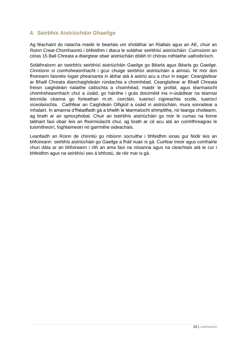## <span id="page-19-0"></span>**4. Seirbhís Aistriúcháin Ghaeilge**

Ag féachaint do rialacha maidir le beartais um sholáthar an Rialtais agus an AE, chuir an Roinn Creat-Chomhaontú i bhfeidhm i dtaca le soláthar seirbhísí aistriúcháin. Cuimsíonn an córas 15 Ball Chreata a dtairgtear obair aistriúcháin dóibh trí chóras rothlaithe uathoibríoch.

Soláthraíonn an tseirbhís seirbhísí aistriúcháin Gaeilge go Béarla agus Béarla go Gaeilge. Cinntíonn sí comhsheasmhacht i gcur chuige seirbhísí aistriúcháin a aimsiú. Ní mór don fhoireann faisnéis íogair phearsanta in ábhar atá á aistriú acu a chur in eagar; Ceanglaítear ar Bhaill Chreata dianchaighdeáin rúndachta a choimhéad. Ceanglaítear ar Bhaill Chreata freisin caighdeáin rialaithe cáilíochta a choimhéad, maidir le profáil, agus téarmaíocht chomhsheasmhach chuí a úsáid, go háirithe i gcás doiciméid ina n-úsáidtear na téarmaí teicniúla céanna go forleathan m.sh. ciorcláin, tuairiscí cigireachta scoile, tuairiscí síceolaíochta. Caithfear an Caighdeán Oifigiúil a úsáid in aistriúcháin, mura sonraítear a mhalairt. In amanna d'fhéadfadh gá a bheith le téarmaíocht shimplithe, nó teanga choiteann, ag brath ar an spriocphobal. Chuir an tseirbhís aistriúcháin go mór le cumas na foirne tabhairt faoi obair leis an fhoirmiúlacht chuí, ag brath ar cé acu atá an comhfhreagras le tuismitheoirí, foghlaimeoirí nó gairmithe oideachais.

Leanfaidh an Roinn de chinntiú go mbíonn socruithe i bhfeidhm ionas gur féidir leis an bhfoireann seirbhís aistriúcháin go Gaeilge a fháil nuair is gá. Cuirfear treoir agus comhairle chun dáta ar an bhfoireann i rith an ama faoi na nósanna agus na cleachtais atá le cur i bhfeidhm agus na seirbhísí seo á bhfostú, de réir mar is gá.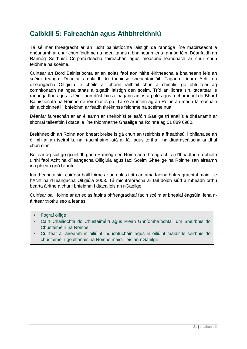## <span id="page-20-0"></span>**Caibidil 5: Faireachán agus Athbhreithniú**

Tá sé mar fhreagracht ar an lucht bainistíochta laistigh de rannóga líne maoirseacht a dhéanamh ar chur chun feidhme na ngealltanas a bhaineann lena rannóg féin. Déanfaidh an Rannóg Seirbhísí Corparáideacha faireachán agus measúnú leanúnach ar chur chun feidhme na scéime.

Cuirtear an Bord Bainistíochta ar an eolas faoi aon nithe éiritheacha a bhaineann leis an scéim teanga. Déantar amhlaidh trí thuairisc sheachtainiúil. Tagann Líonra Acht na dTeangacha Oifigiúla le chéile ar bhonn ráithiúil chun a chinntiú go bhfuiltear ag comhlíonadh na ngealltanas a tugadh laistigh den scéim. Tríd an líonra sin, tacaítear le rannóga líne agus is féidir aon dúshláin a thagann aníos a phlé agus a chur in iúl do Bhord Bainistíochta na Roinne de réir mar is gá. Tá sé ar intinn ag an Roinn an modh faireacháin sin a choinneáil i bhfeidhm ar feadh thréimhse feidhme na scéime nua.

Déanfar faireachán ar an éileamh ar sheirbhísí teileafóin Gaeilge trí anailís a dhéanamh ar shonraí teileafóin i dtaca le líne thiomnaithe Ghaeilge na Roinne ag 01 889 6980.

Breithneoidh an Roinn aon bheart breise is gá chun an tseirbhís a fheabhsú, i bhfianaise an éilimh ar an tseirbhís, na n-acmhainní atá ar fáil agus torthaí na dtuarascálacha ar dhul chun cinn.

Beifear ag súil go gcuirfidh gach Rannóg den Roinn aon fhreagracht a d'fhéadfadh a bheith uirthi faoi Acht na dTeangacha Oifigiúla agus faoi Scéim Ghaeilge na Roinne san áireamh ina phlean gnó bliantúil.

Ina theannta sin, cuirfear baill foirne ar an eolas i rith an ama faoina bhfreagrachtaí maidir le hAcht na dTeangacha Oifigiúla 2003. Tá miontreoracha ar fáil dóibh siúd a mbeadh orthu bearta áirithe a chur i bhfeidhm i dtaca leis an nGaeilge.

Cuirfear baill foirne ar an eolas faoina bhfreagrachtaí faoin scéim ar bhealaí éagsúla, lena náirítear tríothu seo a leanas:

- Fógraí oifige
- Cairt Cháilíochta do Chustaiméirí agus Plean Ghníomhaíochta um Sheirbhís do Chustaiméirí na Roinne
- Cuirfear ar áireamh in oiliúint induchtúcháin agus in oiliúint maidir le seirbhís do chustaiméirí gealltanais na Roinne maidir leis an nGaeilge.